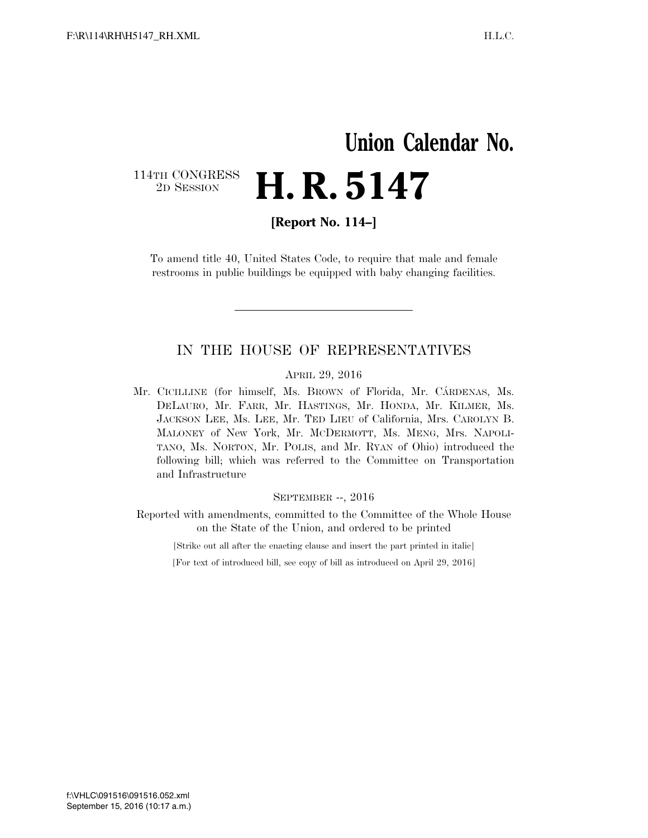## **Union Calendar No.**  114TH CONGRESS<br>2D SESSION **H. R. 5147**

**[Report No. 114–]** 

To amend title 40, United States Code, to require that male and female restrooms in public buildings be equipped with baby changing facilities.

### IN THE HOUSE OF REPRESENTATIVES

### APRIL 29, 2016

Mr. CICILLINE (for himself, Ms. BROWN of Florida, Mr. CÁRDENAS, Ms. DELAURO, Mr. FARR, Mr. HASTINGS, Mr. HONDA, Mr. KILMER, Ms. JACKSON LEE, Ms. LEE, Mr. TED LIEU of California, Mrs. CAROLYN B. MALONEY of New York, Mr. MCDERMOTT, Ms. MENG, Mrs. NAPOLI-TANO, Ms. NORTON, Mr. POLIS, and Mr. RYAN of Ohio) introduced the following bill; which was referred to the Committee on Transportation and Infrastructure

#### SEPTEMBER --, 2016

Reported with amendments, committed to the Committee of the Whole House on the State of the Union, and ordered to be printed

[Strike out all after the enacting clause and insert the part printed in italic]

[For text of introduced bill, see copy of bill as introduced on April 29, 2016]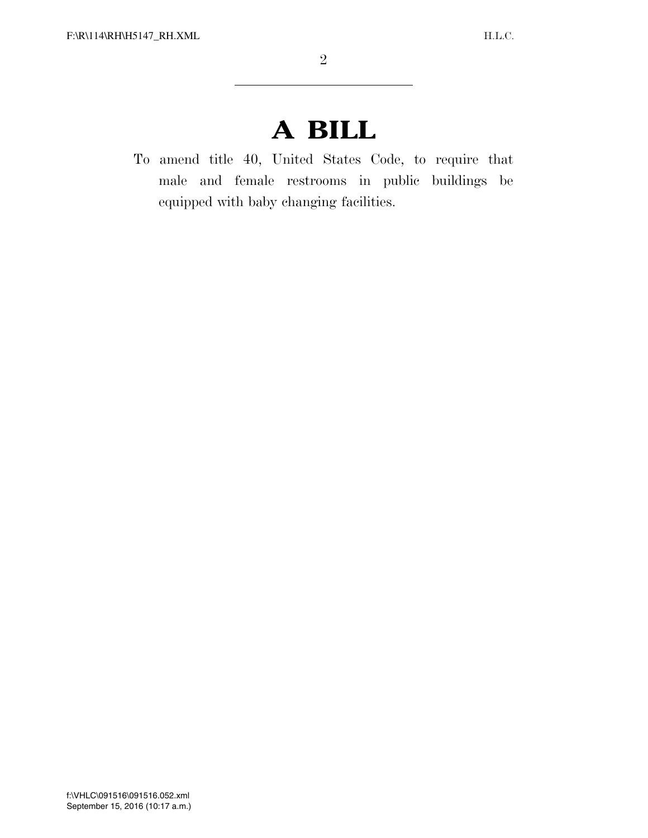# **A BILL**

To amend title 40, United States Code, to require that male and female restrooms in public buildings be equipped with baby changing facilities.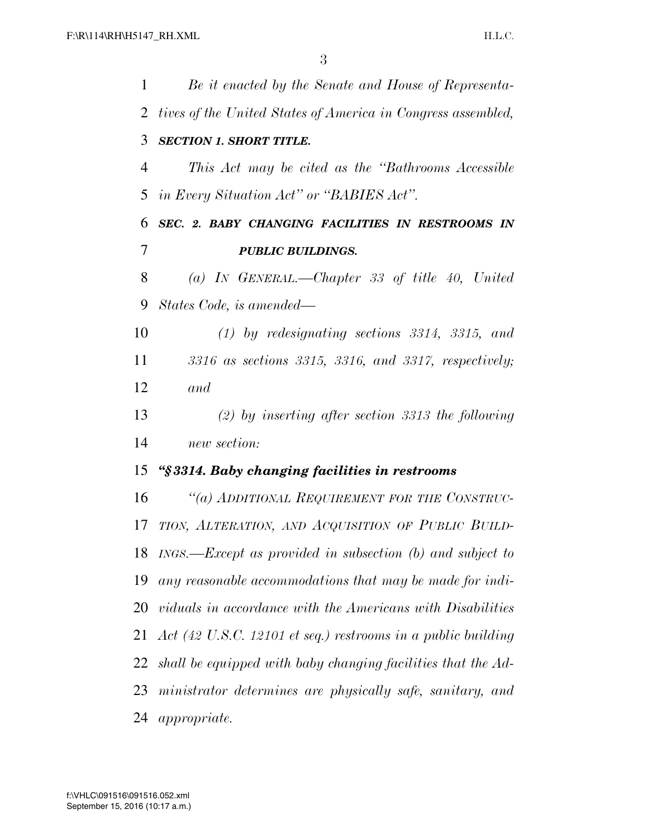| 1              | Be it enacted by the Senate and House of Representa-          |
|----------------|---------------------------------------------------------------|
| $\overline{2}$ | tives of the United States of America in Congress assembled,  |
| 3              | <b>SECTION 1. SHORT TITLE.</b>                                |
| 4              | This Act may be cited as the "Bathrooms Accessible"           |
| 5              | in Every Situation Act" or "BABIES Act".                      |
| 6              | SEC. 2. BABY CHANGING FACILITIES IN RESTROOMS IN              |
| 7              | <b>PUBLIC BUILDINGS.</b>                                      |
| 8              | (a) IN GENERAL.—Chapter 33 of title 40, United                |
| 9              | States Code, is amended—                                      |
| 10             | $(1)$ by redesignating sections 3314, 3315, and               |
| 11             | 3316 as sections 3315, 3316, and 3317, respectively;          |
| 12             | and                                                           |
| 13             | $(2)$ by inserting after section 3313 the following           |
| 14             | new section:                                                  |
| 15             | "§3314. Baby changing facilities in restrooms                 |
| 16             | "(a) ADDITIONAL REQUIREMENT FOR THE CONSTRUC-                 |
| 17             | TION, ALTERATION, AND ACQUISITION OF PUBLIC BUILD-            |
| 18             | $INGS. - Except$ as provided in subsection (b) and subject to |
| 19             | any reasonable accommodations that may be made for indi-      |
| 20             | viduals in accordance with the Americans with Disabilities    |
| 21             | Act (42 U.S.C. 12101 et seq.) restrooms in a public building  |
| 22             | shall be equipped with baby changing facilities that the Ad-  |
| 23             | ministrator determines are physically safe, sanitary, and     |
| 24             | <i>appropriate.</i>                                           |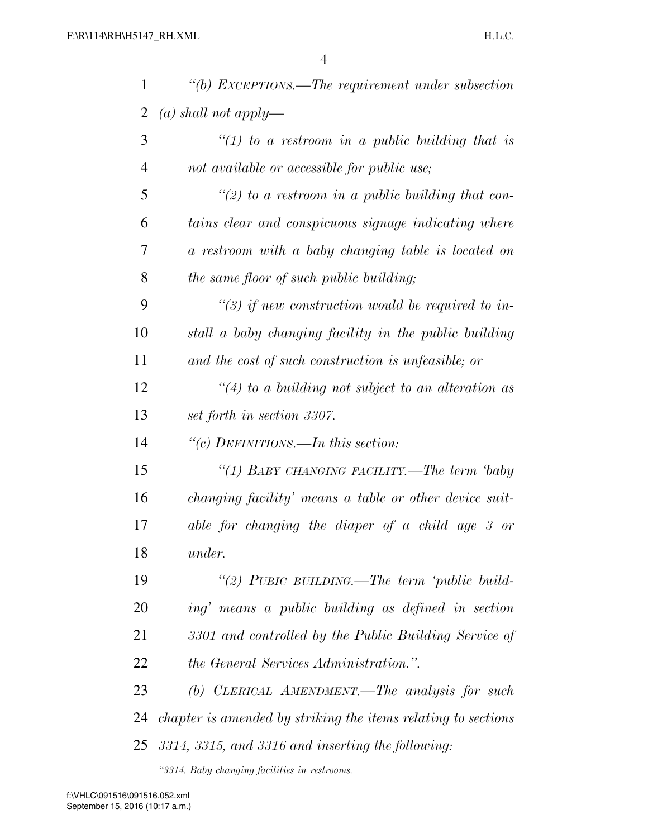| 1              | $\lq\lq(b)$ EXCEPTIONS.—The requirement under subsection      |
|----------------|---------------------------------------------------------------|
| 2              | (a) shall not apply—                                          |
| 3              | "(1) to a restroom in a public building that is               |
| $\overline{4}$ | not available or accessible for public use;                   |
| 5              | "(2) to a restroom in a public building that con-             |
| 6              | tains clear and conspicuous signage indicating where          |
| 7              | a restroom with a baby changing table is located on           |
| 8              | the same floor of such public building;                       |
| 9              | $\lq(3)$ if new construction would be required to in-         |
| 10             | stall a baby changing facility in the public building         |
| 11             | and the cost of such construction is unfeasible; or           |
| 12             | $\lq(4)$ to a building not subject to an alteration as        |
| 13             | set forth in section 3307.                                    |
| 14             | "(c) DEFINITIONS.—In this section:                            |
| 15             | "(1) BABY CHANGING FACILITY.—The term baby                    |
| 16             | changing facility' means a table or other device suit-        |
| 17             | able for changing the diaper of a child age 3 or              |
| 18             | <i>under.</i>                                                 |
| 19             | "(2) PUBIC BUILDING.—The term 'public build-                  |
| 20             | ing' means a public building as defined in section            |
| 21             | 3301 and controlled by the Public Building Service of         |
| 22             | <i>the General Services Administration."</i> .                |
| 23             | (b) CLERICAL AMENDMENT.—The analysis for such                 |
| 24             | chapter is amended by striking the items relating to sections |
| 25             | 3314, 3315, and 3316 and inserting the following:             |

*''3314. Baby changing facilities in restrooms.*